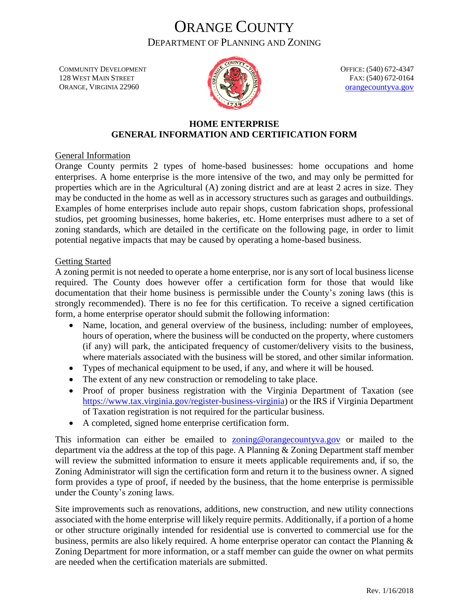# ORANGE COUNTY DEPARTMENT OF PLANNING AND ZONING

COMMUNITY DEVELOPMENT 128 WEST MAIN STREET ORANGE, VIRGINIA 22960



OFFICE: (540) 672-4347 FAX: (540) 672-0164 [orangecountyva.gov](http://www.orangecova.com/)

## **HOME ENTERPRISE GENERAL INFORMATION AND CERTIFICATION FORM**

General Information

Orange County permits 2 types of home-based businesses: home occupations and home enterprises. A home enterprise is the more intensive of the two, and may only be permitted for properties which are in the Agricultural (A) zoning district and are at least 2 acres in size. They may be conducted in the home as well as in accessory structures such as garages and outbuildings. Examples of home enterprises include auto repair shops, custom fabrication shops, professional studios, pet grooming businesses, home bakeries, etc. Home enterprises must adhere to a set of zoning standards, which are detailed in the certificate on the following page, in order to limit potential negative impacts that may be caused by operating a home-based business.

#### Getting Started

A zoning permit is not needed to operate a home enterprise, nor is any sort of local business license required. The County does however offer a certification form for those that would like documentation that their home business is permissible under the County's zoning laws (this is strongly recommended). There is no fee for this certification. To receive a signed certification form, a home enterprise operator should submit the following information:

- Name, location, and general overview of the business, including: number of employees, hours of operation, where the business will be conducted on the property, where customers (if any) will park, the anticipated frequency of customer/delivery visits to the business, where materials associated with the business will be stored, and other similar information.
- Types of mechanical equipment to be used, if any, and where it will be housed.
- The extent of any new construction or remodeling to take place.
- Proof of proper business registration with the Virginia Department of Taxation (see [https://www.tax.virginia.gov/register-business-virginia\)](https://www.tax.virginia.gov/register-business-virginia) or the IRS if Virginia Department of Taxation registration is not required for the particular business.
- A completed, signed home enterprise certification form.

This information can either be emailed to **[zoning@orangecountyva.gov](mailto:zoning@orangecountyva.gov)** or mailed to the department via the address at the top of this page. A Planning & Zoning Department staff member will review the submitted information to ensure it meets applicable requirements and, if so, the Zoning Administrator will sign the certification form and return it to the business owner. A signed form provides a type of proof, if needed by the business, that the home enterprise is permissible under the County's zoning laws.

Site improvements such as renovations, additions, new construction, and new utility connections associated with the home enterprise will likely require permits. Additionally, if a portion of a home or other structure originally intended for residential use is converted to commercial use for the business, permits are also likely required. A home enterprise operator can contact the Planning & Zoning Department for more information, or a staff member can guide the owner on what permits are needed when the certification materials are submitted.